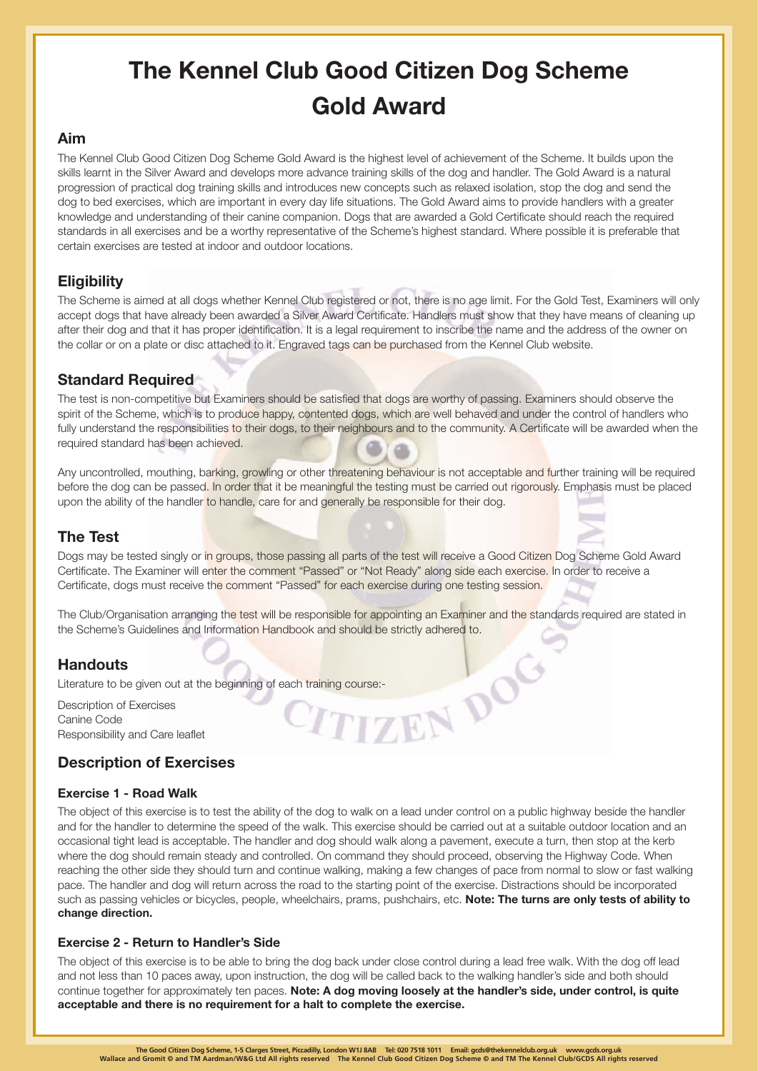# **The Kennel Club Good Citizen Dog Scheme Gold Award**

## **Aim**

The Kennel Club Good Citizen Dog Scheme Gold Award is the highest level of achievement of the Scheme. It builds upon the skills learnt in the Silver Award and develops more advance training skills of the dog and handler. The Gold Award is a natural progression of practical dog training skills and introduces new concepts such as relaxed isolation, stop the dog and send the dog to bed exercises, which are important in every day life situations. The Gold Award aims to provide handlers with a greater knowledge and understanding of their canine companion. Dogs that are awarded a Gold Certificate should reach the required standards in all exercises and be a worthy representative of the Scheme's highest standard. Where possible it is preferable that certain exercises are tested at indoor and outdoor locations.

# **Eligibility**

The Scheme is aimed at all dogs whether Kennel Club registered or not, there is no age limit. For the Gold Test, Examiners will only accept dogs that have already been awarded a Silver Award Certificate. Handlers must show that they have means of cleaning up after their dog and that it has proper identification. It is a legal requirement to inscribe the name and the address of the owner on the collar or on a plate or disc attached to it. Engraved tags can be purchased from the Kennel Club website.

## **Standard Required**

The test is non-competitive but Examiners should be satisfied that dogs are worthy of passing. Examiners should observe the spirit of the Scheme, which is to produce happy, contented dogs, which are well behaved and under the control of handlers who fully understand the responsibilities to their dogs, to their neighbours and to the community. A Certificate will be awarded when the required standard has been achieved.

Any uncontrolled, mouthing, barking, growling or other threatening behaviour is not acceptable and further training will be required before the dog can be passed. In order that it be meaningful the testing must be carried out rigorously. Emphasis must be placed upon the ability of the handler to handle, care for and generally be responsible for their dog.

## **The Test**

Dogs may be tested singly or in groups, those passing all parts of the test will receive a Good Citizen Dog Scheme Gold Award Certificate. The Examiner will enter the comment "Passed" or "Not Ready" along side each exercise. In order to receive a Certificate, dogs must receive the comment "Passed" for each exercise during one testing session.

The Club/Organisation arranging the test will be responsible for appointing an Examiner and the standards required are stated in the Scheme's Guidelines and Information Handbook and should be strictly adhered to.

## **Handouts**

Literature to be given out at the beginning of each training course:<br>Description of Exercises<br>Canine Code<br>Responsibility and Care leaflet<br>**Description of T** Description of Exercises Canine Code Responsibility and Care leaflet

# **Description of Exercises**

## **Exercise 1 - Road Walk**

The object of this exercise is to test the ability of the dog to walk on a lead under control on a public highway beside the handler and for the handler to determine the speed of the walk. This exercise should be carried out at a suitable outdoor location and an occasional tight lead is acceptable. The handler and dog should walk along a pavement, execute a turn, then stop at the kerb where the dog should remain steady and controlled. On command they should proceed, observing the Highway Code. When reaching the other side they should turn and continue walking, making a few changes of pace from normal to slow or fast walking pace. The handler and dog will return across the road to the starting point of the exercise. Distractions should be incorporated such as passing vehicles or bicycles, people, wheelchairs, prams, pushchairs, etc. **Note: The turns are only tests of ability to change direction.**

## **Exercise 2 - Return to Handler's Side**

The object of this exercise is to be able to bring the dog back under close control during a lead free walk. With the dog off lead and not less than 10 paces away, upon instruction, the dog will be called back to the walking handler's side and both should continue together for approximately ten paces. **Note: A dog moving loosely at the handler's side, under control, is quite acceptable and there is no requirement for a halt to complete the exercise.**